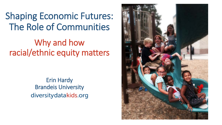Shaping Economic Futures: The Role of Communities

Why and how racial/ethnic equity matters

> Erin Hardy Brandeis Universitydiversity datakids.org

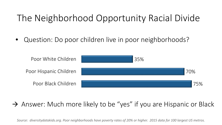# The Neighborhood Opportunity Racial Divide

• Question: Do poor children live in poor neighborhoods?



#### $\rightarrow$  Answer: Much more likely to be "yes" if you are Hispanic or Black

*Source: diversitydatakids.org. Poor neighborhoods have poverty rates of 20% or higher. 2015 data for 100 largest US metros.*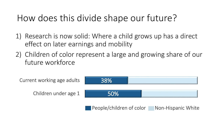## How does this divide shape our future?

- 1) Research is now solid: Where a child grows up has a direct effect on later earnings and mobility
- 2) Children of color represent a large and growing share of our future workforce

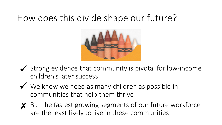#### How does this divide shape our future?



- $\checkmark$  Strong evidence that community is pivotal for low-income children's later success
- $\checkmark$  We know we need as many children as possible in communities that help them thrive
- X But the fastest growing segments of our future workforce are the least likely to live in these communities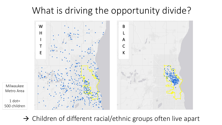#### What is driving the opportunity divide?



 $\rightarrow$  Children of different racial/ethnic groups often live apart

1 dot=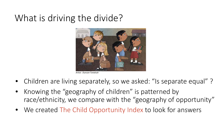## What is driving the divide?



*Artist: Duncan Tonatiuh*

- Children are living separately, so we asked: "Is separate equal"?
- Knowing the "geography of children" is patterned by race/ethnicity, we compare with the "geography of opportunity"
- We created The Child Opportunity Index to look for answers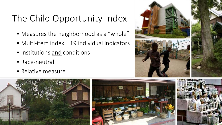# The Child Opportunity Index

- Measures the neighborhood as a "whole"
- Multi-item index | 19 individual indicators
- Institutions and conditions
- Race-neutral
- Relative measure





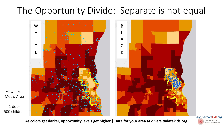# The Opportunity Divide: Separate is not equal



**As colors get darker, opportunity levels get higher | Data for your area at [diversitydatakids.org](http://diversitydatakids.org)**

Milwaukee

Metro Area

 $1$  dot=

![](_page_7_Picture_3.jpeg)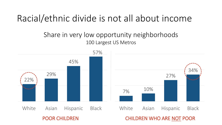#### Racial/ethnic divide is not all about income

#### Share in very low opportunity neighborhoods 100 Largest US Metros

![](_page_8_Figure_2.jpeg)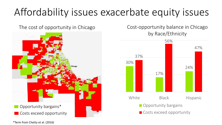# Affordability issues exacerbate equity issues

The cost of opportunity in Chicago

![](_page_9_Picture_2.jpeg)

Cost-opportunity balance in Chicago by Race/Ethnicity

![](_page_9_Figure_4.jpeg)

\*Term from Chetty et al. (2016)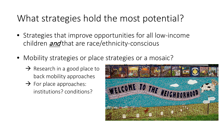## What strategies hold the most potential?

- Strategies that improve opportunities for all low-income children *and* that are race/ethnicity-conscious
- Mobility strategies or place strategies or a mosaic?
	- $\rightarrow$  Research in a good place to back mobility approaches
	- $\rightarrow$  For place approaches: institutions? conditions?

![](_page_10_Picture_5.jpeg)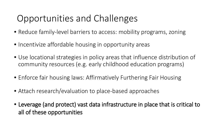# Opportunities and Challenges

- Reduce family-level barriers to access: mobility programs, zoning
- Incentivize affordable housing in opportunity areas
- Use locational strategies in policy areas that influence distribution of community resources (e.g. early childhood education programs)
- Enforce fair housing laws: Affirmatively Furthering Fair Housing
- Attach research/evaluation to place-based approaches
- Leverage (and protect) vast data infrastructure in place that is critical to all of these opportunities